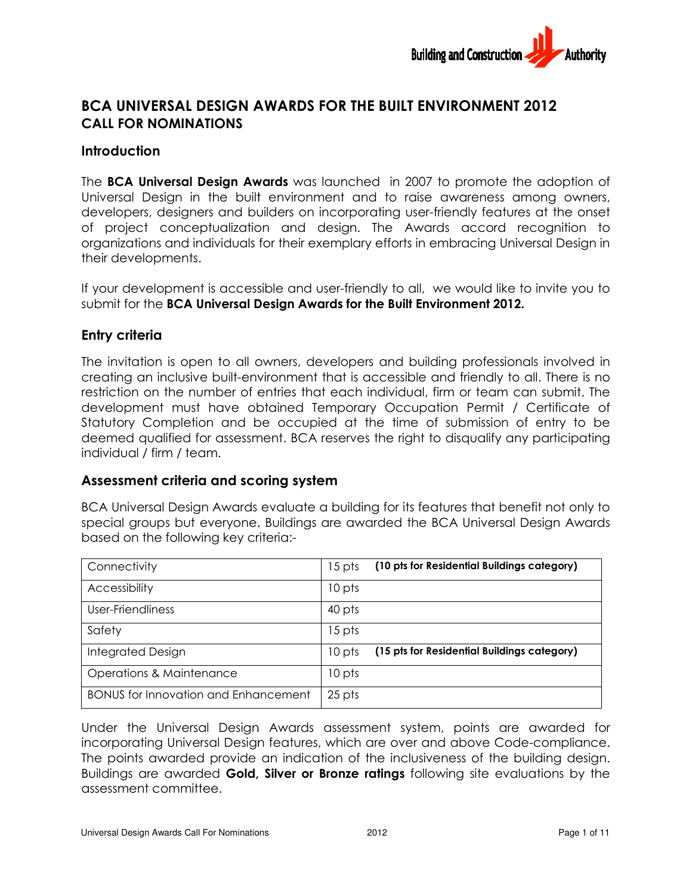

# BCA UNIVERSAL DESIGN AWARDS FOR THE BUILT ENVIRONMENT 2012 CALL FOR NOMINATIONS

# **Introduction**

The BCA Universal Design Awards was launched in 2007 to promote the adoption of Universal Design in the built environment and to raise awareness among owners, Universal Design in the built environment and to raise awareness among owners,<br>developers, designers and builders on incorporating user-friendly features at the onset of project conceptualization and design. The Awards accord recognition to organizations and individuals for their exemplary efforts in embracing Universal Design in their developments. organizations and individuals for their exemplary efforts in embracing Universal Design in<br>their developments.<br>If your development is accessible and user-friendly to all, we would like to invite you to launched in 2007 to promote the adoption of<br>nent and to raise awareness among owners,<br>ncorporating user-friendly features at the onset<br>design. The Awards accord recognition to<br>emplary efforts in embracing Universal Design

submit for the BCA Universal Design Awards for the Built Environment 2012.

# Entry criteria

The invitation is open to all owners, developers and building professionals involved in creating an inclusive built-environment that is accessible and friendly to all. There is no restriction on the number of entries that each individual, firm or team can submit. The development must have obtained Temporary Occupation Permit / Certificate of Statutory Completion and be occupied at the time of submission of entry to be Statutory Completion and be occupied at the time of submission of entry to be<br>deemed qualified for assessment. BCA reserves the right to disqualify any participating individual / firm / team.

# Assessment criteria and scoring system

| individual / firm / team.                   | restriction on the number of entries that each individual, firm or team can submit. The<br>development must have obtained Temporary Occupation Permit / Certificate of<br>Statutory Completion and be occupied at the time of submission of entry to be<br>deemed qualified for assessment. BCA reserves the right to disqualify any participating |
|---------------------------------------------|----------------------------------------------------------------------------------------------------------------------------------------------------------------------------------------------------------------------------------------------------------------------------------------------------------------------------------------------------|
| Assessment criteria and scoring system      |                                                                                                                                                                                                                                                                                                                                                    |
| based on the following key criteria:-       | BCA Universal Design Awards evaluate a building for its features that benefit not only to<br>special groups but everyone. Buildings are awarded the BCA Universal Design Awards                                                                                                                                                                    |
| Connectivity                                | (10 pts for Residential Buildings category)<br>15 pts                                                                                                                                                                                                                                                                                              |
| Accessibility                               | 10 pts                                                                                                                                                                                                                                                                                                                                             |
| User-Friendliness                           | 40 pts                                                                                                                                                                                                                                                                                                                                             |
| Safety                                      | 15 pts                                                                                                                                                                                                                                                                                                                                             |
| <b>Integrated Design</b>                    | (15 pts for Residential Buildings category)<br>10 pts                                                                                                                                                                                                                                                                                              |
| <b>Operations &amp; Maintenance</b>         | 10 pts                                                                                                                                                                                                                                                                                                                                             |
| <b>BONUS for Innovation and Enhancement</b> | 25 pts                                                                                                                                                                                                                                                                                                                                             |
|                                             | Under the Universal Design Awards assessment system, points are awarded for<br>incorporating Universal Design features, which are over and above Code-compliance.                                                                                                                                                                                  |

Under the Universal Design Awards assessment system, points are awarded for incorporating Universal Design features, which are over and above Code Under the Universal Design Awards assessment system, points are awarded for<br>incorporating Universal Design features, which are over and above Code-compliance.<br>The points awarded provide an indication of the inclusiveness o Buildings are awarded **Gold, Silver or Bronze ratings** following site evaluations by the assessment committee.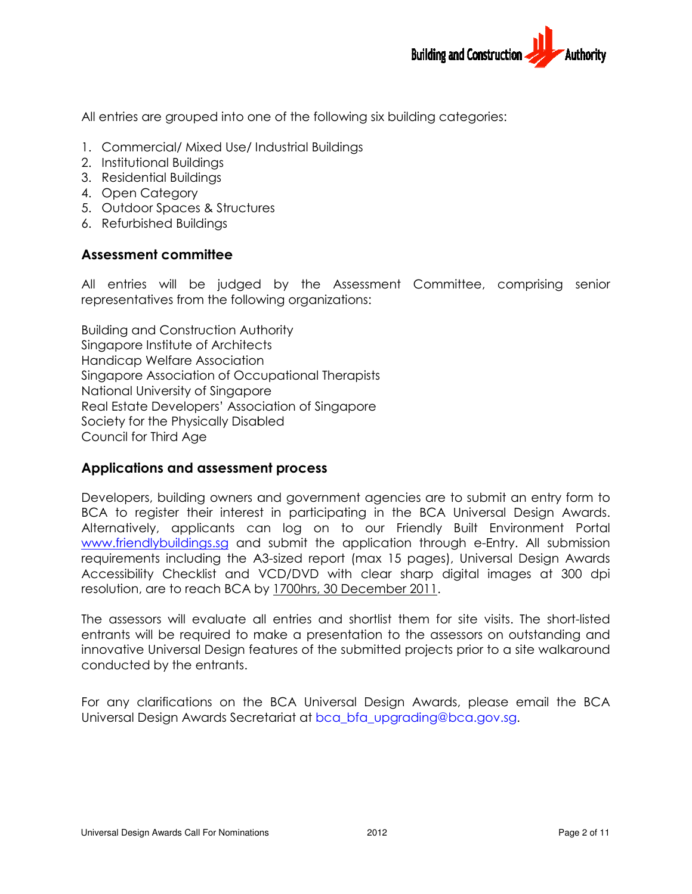

All entries are grouped into one of the following six building categories:

- 1. Commercial/ Mixed Use/ Industrial Buildings
- 2. Institutional Buildings
- 3. Residential Buildings
- 4. Open Category
- 5. Outdoor Spaces & Structures
- 6. Refurbished Buildings

# Assessment committee

All entries will be judged by the Assessment Committee, comprising senior representatives from the following organizations: entries are grouped into one of the following six building categories:<br>
Commercial/ Mixed Use/ Industrial Buildings<br>
Institutional Buildings<br>
Residential Buildings<br>
Open Category<br>
Outdoor Spaces & Structures<br>
Refurbished B

Building and Construction Authority Singapore Institute of Architects Handicap Welfare Association representatives from the following organizations:<br>Building and Construction Authority<br>Singapore Institute of Architects<br>Handicap Welfare Association<br>Singapore Association of Occupational Therapists National University of Singapore National University of Singapore<br>Real Estate Developers' Association of Singapore Society for the Physically Disabled Council for Third Age

# Applications and assessment process

Developers, building owners and government agencies are to submit an entry form to BCA to register their interest in participating in the BCA Universal Design Awards. Alternatively, applicants can log on to our Friendly Built Environment Portal www.friendlybuildings.sg and submit the application through e-Entry. All submission requirements including the A3-sized report (max 15 pages), Universal Design Awards Accessibility Checklist and VCD/DVD with clear sharp digital images at 300 dpi resolution, are to reach BCA by <u>1700hrs, 30 December 2011</u>. resolution, are to reach BCA by 1700hrs, 30 December 2011. Developers, building owners and government agencies are to submit an entry form to<br>BCA to register their interest in participating in the BCA Universal Design Awards.<br>Alternatively, applicants can log on to our Friendly Bu ubmit the application through e-Entry. All submission<br>sized report (max 15 pages), Universal Design Awards<br>CD/DVD with clear sharp digital images at 300 dpi<br>1700hrs, 30 December 2011.<br>entries and shortlist them for site vi

The assessors will evaluate all entries and shortlist them for site visits. entrants will be required to make a presentation to the assessors on outstanding and entrants will be required to make a presentation to the assessors on outstanding and<br>innovative Universal Design features of the submitted projects prior to a site walkaround conducted by the entrants.

For any clarifications on the BCA Universal Design Awards, please email the BCA For any clarifications on the BCA Universal Design Awards, please e<br>Universal Design Awards Secretariat at bca\_bfa\_upgrading@bca.gov.sg.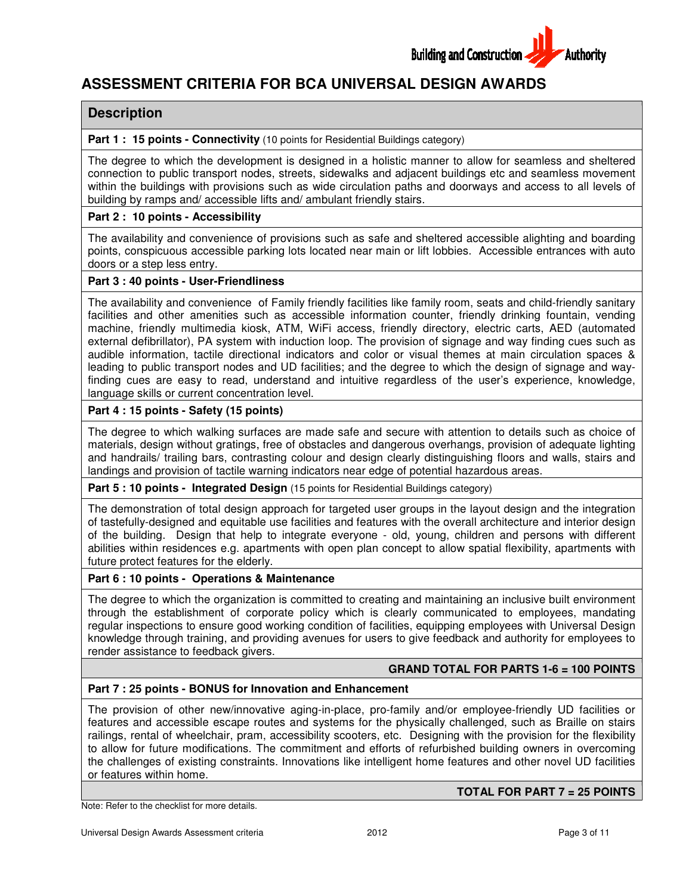

# **ASSESSMENT CRITERIA FOR BCA UNIVERSAL DESIGN AWARD AWARDS**

### **Description**

#### **Part 1: 15 points - Connectivity** (10 points for Residential Buildings category)

The degree to which the development is designed in a holistic manner to allow for seamless and sheltered The degree to which the development is designed in a holistic manner to allow for seamless and sheltered<br>connection to public transport nodes, streets, sidewalks and adjacent buildings etc and seamless movement within the buildings with provisions such as wide circulation paths and doorways and access to all levels of<br>building by ramps and/ accessible lifts and/ ambulant friendly stairs. building by ramps and/ accessible lifts and/ ambulant friendly stairs.

### **Part 2 : 10 points - Accessibility**

The availability and convenience of provisions such as safe and sheltered accessible alighting and boarding The availability and convenience of provisions such as safe and sheltered accessible alighting and boarding<br>points, conspicuous accessible parking lots located near main or lift lobbies. Accessible entrances with auto doors or a step less entry. t buildings etc and seamless movement<br>hd doorways and access to all levels of<br>ltered accessible alighting and boarding<br>obbies. Accessible entrances with auto<br>ly room, seats and child-friendly sanitary

### **Part 3 : 40 points - User-Friendliness**

The availability and convenience of Family friendly facilities like family room, seats and child-friendly sanitary facilities and other amenities such as accessible information counter, friendly drinking fountain, vending machine, friendly multimedia kiosk, ATM, WiFi access, friendly directory, electric carts, AED (automated The availability and convenience of Family friendly facilities like family room, seats and child-friendly sanitary<br>facilities and other amenities such as accessible information counter, friendly drinking fountain, vending<br> audible information, tactile directional indicators and color or visual themes at main circulation spaces & leading to public transport nodes and UD facilities; and the degree to which the design of signage and way finding cues are easy to read, understand and intuitive regardless of the user's experience, knowledge, language skills or current concentration level. information, tactile directional indicators and color or visual themes at main circulation spaces &<br>to public transport nodes and UD facilities; and the degree to which the design of signage and way-<br>cues are easy to read, of signage and way finding cues such as<br>al themes at main circulation spaces &<br>to which the design of signage and way-

### **Part 4 : 15 points - Safety (15 points)**

The degree to which walking surfaces are made safe and secure with attention to details such as choice of materials, design without gratings, free of obstacles and dangerous overhangs, provision of adequate lighting and handrails/ trailing bars, contrasting colour and design clearly distinguishing floors and walls, stairs and landings and provision of tactile warning indicators near edge of potential hazardous areas. concentration level.<br>which secure attention tevel.<br>which walking surfaces are made safe and secure with attention to details such as ch<br>provision trailing surfaces are made safe and secure with attention to details such as

**Part 5 : 10 points - Integrated Design** (15 points for Residential Buildings category)

The demonstration of total design approach for targeted user groups in the layout design and the integration of tastefully-designed and equitable use facilities and features with the overall architecture and interior design of the building. Design that help to integrate everyone - old, young, children and persons with different abilities within residences e.g. apartments with open plan concept to allow spatial flexibility, apartments with future protect features for the elderly. total design approach for targeted user groups in the layout design and the inte<br>and equitable use facilities and features with the overall architecture and interior<br>gn that help to integrate everyone - old, young, childre

### **Part 6 : 10 points - Operations & Maintenance**

The degree to which the organization is committed to creating and maintaining an inclusive built environment through the establishment of corporate policy which is clearly communicated to employees, mandating regular inspections to ensure good working condition of facilities, equipping employees with Universal Design knowledge through training, and providing avenues for users to give feedback and authority for employees to render assistance to feedback givers. mmitted to creating and maintaining an inclusive<br>policy which is clearly communicated to emplo<br>g condition of facilities, equipping employees with

### **GRAND TOTAL FOR PARTS 1 1-6 = 100 POINTS**

### **Part 7 : 25 points - BONUS for Innovation and Enhancement**

The provision of other new/innovative aging-in-place, pro-family and/or employee-friendly UD facilities or The provision of other new/innovative aging-in-place, pro-family and/or employee-friendly UD facilities or<br>features and accessible escape routes and systems for the physically challenged, such as Braille on stairs features and accessible escape routes and systems for the physically challenged, such as Braille on stairs<br>railings, rental of wheelchair, pram, accessibility scooters, etc. Designing with the provision for the flexibility to allow for future modifications. The commitment and efforts of refurbished building owners in overcoming the challenges of existing constraints. Innovations like intelligent home features and other or features within home. , accessibility scooters, etc. Designing with the provision for the flexibility<br>he commitment and efforts of refurbished building owners in overcoming<br>nts. Innovations like intelligent home features and other novel UD faci

Note: Refer to the checklist for more details.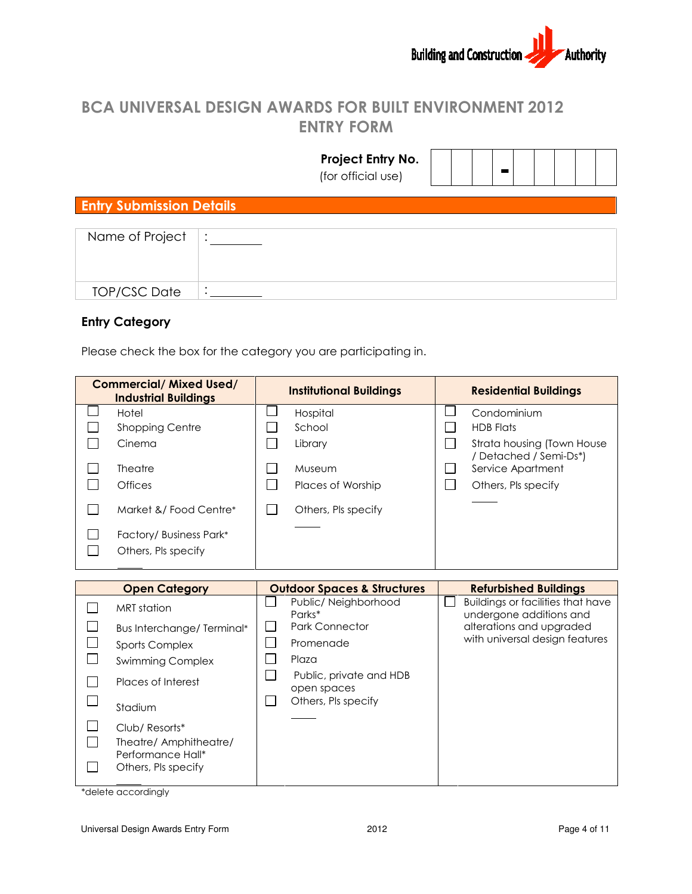

# BCA UNIVERSAL DESIGN AWARDS FOR BUILT ENVIRONMENT 2012 ENTRY FORM

|                                 | Project Entry No.<br>(for official use) |  |
|---------------------------------|-----------------------------------------|--|
| <b>Entry Submission Details</b> |                                         |  |
| Name of Project                 | $\bullet$                               |  |
| <b>TOP/CSC Date</b>             | $\bullet$                               |  |

# Entry Category

|                                                                                                                                                                                                                                                 |                                                                 |                                              | (for official use)                                                                                                                      |        |                                                                                                                                     |  |  |  |
|-------------------------------------------------------------------------------------------------------------------------------------------------------------------------------------------------------------------------------------------------|-----------------------------------------------------------------|----------------------------------------------|-----------------------------------------------------------------------------------------------------------------------------------------|--------|-------------------------------------------------------------------------------------------------------------------------------------|--|--|--|
| <b>Entry Submission Details</b>                                                                                                                                                                                                                 |                                                                 |                                              |                                                                                                                                         |        |                                                                                                                                     |  |  |  |
| Name of Project                                                                                                                                                                                                                                 |                                                                 |                                              |                                                                                                                                         |        |                                                                                                                                     |  |  |  |
| <b>TOP/CSC Date</b>                                                                                                                                                                                                                             |                                                                 |                                              |                                                                                                                                         |        |                                                                                                                                     |  |  |  |
| <b>Entry Category</b>                                                                                                                                                                                                                           | Please check the box for the category you are participating in. |                                              |                                                                                                                                         |        |                                                                                                                                     |  |  |  |
| <b>Commercial/ Mixed Used/</b><br><b>Industrial Buildings</b>                                                                                                                                                                                   |                                                                 |                                              | <b>Institutional Buildings</b>                                                                                                          |        | <b>Residential Buildings</b>                                                                                                        |  |  |  |
| Hotel<br>Shopping Centre<br>Cinema<br><b>Theatre</b><br>Offices<br>Market &/Food Centre*<br>Factory/ Business Park*<br>Others, Pls specify                                                                                                      |                                                                 | $\blacksquare$                               | Hospital<br>School<br>Library<br>Museum<br>Places of Worship<br>Others, Pls specify                                                     | ப<br>П | Condominium<br><b>HDB Flats</b><br>Strata housing (Town House<br>/ Detached / Semi-Ds*)<br>Service Apartment<br>Others, Pls specify |  |  |  |
| <b>Open Category</b>                                                                                                                                                                                                                            |                                                                 |                                              | <b>Outdoor Spaces &amp; Structures</b>                                                                                                  |        | <b>Refurbished Buildings</b>                                                                                                        |  |  |  |
| <b>MRT</b> station<br>Bus Interchange/ Terminal*<br><b>Sports Complex</b><br><b>Swimming Complex</b><br>Places of Interest<br>Stadium<br>Club/ Resorts*<br>Theatre/ Amphitheatre/<br>Performance Hall*<br>Others, Pls specify<br>$\blacksquare$ |                                                                 | $\mathsf{L}$<br>$\mathbf{L}$<br>$\mathbf{I}$ | Public/ Neighborhood<br>Parks*<br>Park Connector<br>Promenade<br>Plaza<br>Public, private and HDB<br>open spaces<br>Others, Pls specify |        | <b>Buildings or facilities that have</b><br>undergone additions and<br>alterations and upgraded<br>with universal design features   |  |  |  |

\*delete accordingly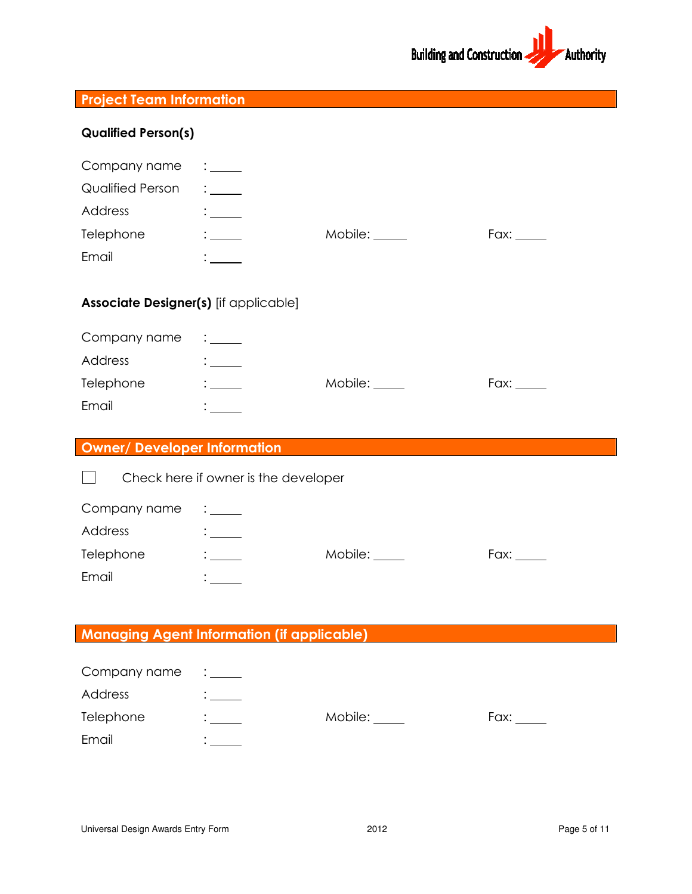

| <b>Project Team Information</b>       |                                                                                                                                                                                                                                                                                                           |               |                                                                                                                                                                                                                                |
|---------------------------------------|-----------------------------------------------------------------------------------------------------------------------------------------------------------------------------------------------------------------------------------------------------------------------------------------------------------|---------------|--------------------------------------------------------------------------------------------------------------------------------------------------------------------------------------------------------------------------------|
| <b>Qualified Person(s)</b>            |                                                                                                                                                                                                                                                                                                           |               |                                                                                                                                                                                                                                |
| Company name                          | $\frac{1}{2}$ . $\frac{1}{2}$ . $\frac{1}{2}$ . $\frac{1}{2}$ . $\frac{1}{2}$ . $\frac{1}{2}$ . $\frac{1}{2}$ . $\frac{1}{2}$ . $\frac{1}{2}$ . $\frac{1}{2}$ . $\frac{1}{2}$ . $\frac{1}{2}$ . $\frac{1}{2}$ . $\frac{1}{2}$ . $\frac{1}{2}$ . $\frac{1}{2}$ . $\frac{1}{2}$ . $\frac{1}{2}$ . $\frac{1$ |               |                                                                                                                                                                                                                                |
| <b>Qualified Person</b>               | $\mathbb{R}^{\mathbb{Z}^{\times}}$                                                                                                                                                                                                                                                                        |               |                                                                                                                                                                                                                                |
| Address                               | $\frac{1}{1}$                                                                                                                                                                                                                                                                                             |               |                                                                                                                                                                                                                                |
| Telephone                             | $\frac{1}{2}$                                                                                                                                                                                                                                                                                             | Mobile: _____ | Fax:                                                                                                                                                                                                                           |
| Email                                 |                                                                                                                                                                                                                                                                                                           |               |                                                                                                                                                                                                                                |
| Associate Designer(s) [if applicable] |                                                                                                                                                                                                                                                                                                           |               |                                                                                                                                                                                                                                |
| Company name                          | $\frac{1}{2}$                                                                                                                                                                                                                                                                                             |               |                                                                                                                                                                                                                                |
| Address                               | $\frac{1}{2}$                                                                                                                                                                                                                                                                                             |               |                                                                                                                                                                                                                                |
| Telephone                             | $\frac{1}{2}$                                                                                                                                                                                                                                                                                             | Mobile: _____ |                                                                                                                                                                                                                                |
| Email                                 | $\mathbb{R}^n$ and $\mathbb{R}^n$                                                                                                                                                                                                                                                                         |               |                                                                                                                                                                                                                                |
| <b>Owner/ Developer Information</b>   |                                                                                                                                                                                                                                                                                                           |               |                                                                                                                                                                                                                                |
|                                       | Check here if owner is the developer                                                                                                                                                                                                                                                                      |               |                                                                                                                                                                                                                                |
| Company name                          | $\frac{1}{2}$                                                                                                                                                                                                                                                                                             |               |                                                                                                                                                                                                                                |
| Address                               | $\frac{1}{2}$                                                                                                                                                                                                                                                                                             |               |                                                                                                                                                                                                                                |
| Telephone                             | $\frac{1}{1}$                                                                                                                                                                                                                                                                                             | Mobile:       | Fax: Faxe Section of the Section of the Section of the Section of the Section of the Section of the Section of the Section of the Section of the Section of the Section of the Section of the Section of the Section of the Se |
| Email                                 |                                                                                                                                                                                                                                                                                                           |               |                                                                                                                                                                                                                                |
|                                       |                                                                                                                                                                                                                                                                                                           |               |                                                                                                                                                                                                                                |
|                                       | <b>Managing Agent Information (if applicable)</b>                                                                                                                                                                                                                                                         |               |                                                                                                                                                                                                                                |
| Company name                          |                                                                                                                                                                                                                                                                                                           |               |                                                                                                                                                                                                                                |
| Address                               | $\mathbf{C}$                                                                                                                                                                                                                                                                                              |               |                                                                                                                                                                                                                                |
| Telephone                             |                                                                                                                                                                                                                                                                                                           | Mobile: ____  |                                                                                                                                                                                                                                |
|                                       |                                                                                                                                                                                                                                                                                                           |               |                                                                                                                                                                                                                                |
| Email                                 |                                                                                                                                                                                                                                                                                                           |               |                                                                                                                                                                                                                                |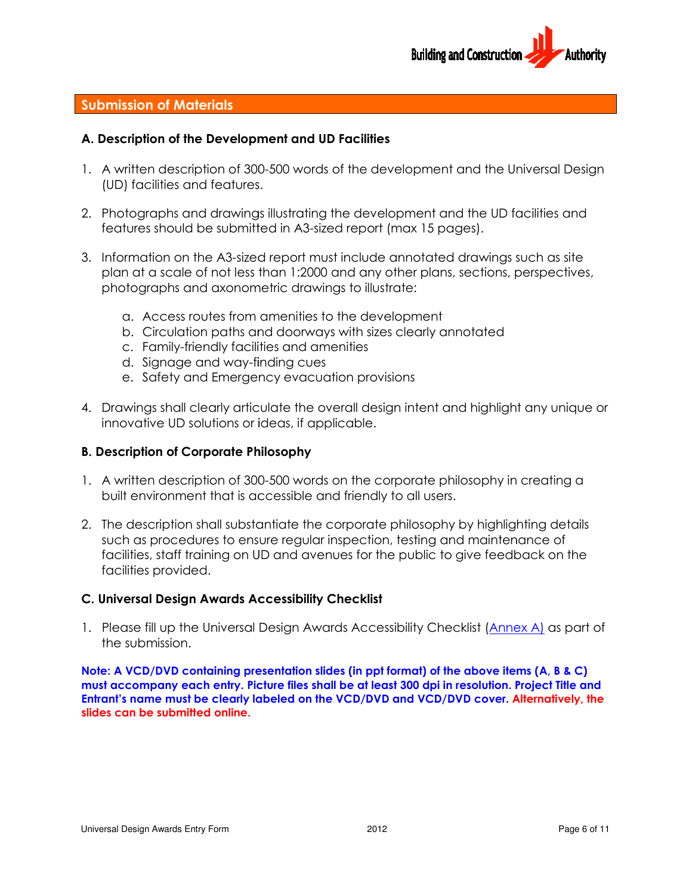

# Submission of Materials

# A. Description of the Development and UD Facilities Description

- 1. A written description of 300 300-500 words of the development and the Universal Design (UD) facilities and features.
- 2. Photographs and drawings illustrating the development and the UD facilities and features should be submitted in A3-sized report (max 15 pages). (UD) facilities and features.<br>Photographs and drawings illustrating the development and the UD facilities<br>features should be submitted in A3-sized report (max 15 pages).
- 3. Information on the A3-sized report must include annotated drawings such as site plan at a scale of not less than 1:2000 and any other plans, sections, perspectives, photographs and axonometric drawings to illustrate: n at a scale of not less than 1:2000 and any other plans, section:<br>btographs and axonometric drawings to illustrate:<br>a. Access routes from amenities to the development<br>b. Circulation paths and doorways with sizes clearly a
	- a. Access routes from amenities to the development
	-
	- c. Family-friendly facilities acilities and amenities
	- d. Signage and way-finding cues finding cues
	- e. Safety and Emergency evacuation provisions
- e. Safety and Emergency evacuation provisions<br>4. Drawings shall clearly articulate the overall design intent and highlight any unique or innovative UD solutions or ideas, if applicable.

### B. Description of Corporate Philoso Corporate Philosophy

- 1. A written description of 300 300-500 words on the corporate philosophy in creating a built environment that is accessible and friendly to all users.
- 2. The description shall substantiate the corporate philosophy by highlighting details built environment is details such as procedures to ensure regular inspection, testing and maintenance of facilities, staff training on UD and avenues for the public to give feedback on the facilities provided. i procedures to ensure regular inspection, testing and maintenanc<br>s, staff training on UD and avenues for the public to give feedbacl<br>s provided.<br>**Il Design Awards Accessibility Checklist (Annex A**<br>fill up the Universal De f 300-500 words of the development and the Universal Design<br>virgs.<br>Units illustrating the development and the UD facilities and<br>mitted in A3-sized report (max 15 pages).<br>Sized report must include annotated drawings such as

### C. Universal Design Awards Accessibility Checklist

1. Please fill up the Universal Design Awards Accessibility Checklist (Annex A) as part of the submission.

Note: A VCD/DVD containing presentation slides (in ppt format) of the above items (A, B & C) Note: A VCD/DVD containing presentation slides (in ppt format) of the above items (A, B & C)<br>must accompany each entry. Picture files shall be at least 300 dpi in resolution. Project Title and must accompany each entry. Picture files shall be at least 300 dpi in resolution. Project Title and<br>Entrant's name must be clearly labeled on the VCD/DVD and VCD/DVD cover. Alternatively, the slides can be submitted online.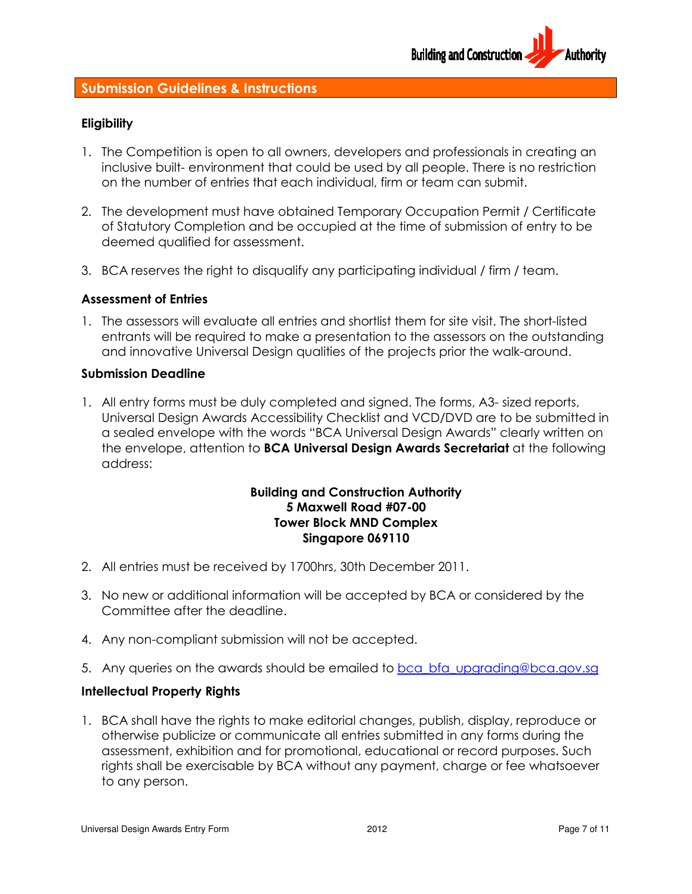

# Submission Guidelines & Instructions

### **Eligibility**

- 1. The Competition is open to all owners, developers and professionals in creating an inclusive built- environment that could be used by all people. There is no restriction on the number of entries that each individual, firm or team can submit. inclusive built- environment that could be used by all people. There is<br>on the number of entries that each individual, firm or team can submi<br>2. The development must have obtained Temporary Occupation Permit ssionals in creating an<br>e. There is no restriction<br>can submit.<br>on Permit / Certificate
- of Statutory Completion and be occupied at the time of submission of entry to be deemed qualified for assessment.
- deemed qualified for assessment.<br>3. BCA reserves the right to disqualify any participating individual / firm / team.

### Assessment of Entries

1. The assessors will evaluate all entries and shortlist them for site visit. The short-listed entrants will be required to make a presentation to the assessors on the outstanding and innovative Universal Design qualities of the projects prior the walk-around. 1. All entry forms must be duly completed and signed. The forms, A3- sized reports,<br>1. All entry forms must be duly completed and signed. The forms, A3- sized reports,

### Submission Deadline

All entry forms must be duly completed and signed. The forms, A3- sized reports,<br>Universal Design Awards Accessibility Checklist and VCD/DVD are to be submitted in a sealed envelope with the words "BCA Universal Design Awards" clearly written on the envelope, attention to **BCA Universal Design Awards Secretariat** at the following address:

# Building and Construction Authority 5 Maxwell Road #07-00 Tower Block MND Complex Singapore 069110

- 2. All entries must be received by 1700hrs, 30th December 2011.
- 3. No new or additional information will be accepted by BCA or considered by the Committee after the deadline. 3. No new or additional information will be accepted b<br>Committee after the deadline.<br>4. Any non-compliant submission will not be accepted.
- 
- 5. Any queries on the awards should be emailed to bca bfa upgrading@bca.gov.sg

# Intellectual Property Rights

1. BCA shall have the rights to make editorial changes, publish, display, reproduce or otherwise publicize or communicate all entries submitted in any forms during the assessment, exhibition and for promotional, educational or record purposes. Such rights shall be exercisable by BCA without any payment, charge or fee whatsoever to any person. shall have the rights to make editorial changes, publish, display, re<br>wise publicize or communicate all entries submitted in any forms d<br>sment, exhibition and for promotional, educational or record purp<br>i shall be exercisa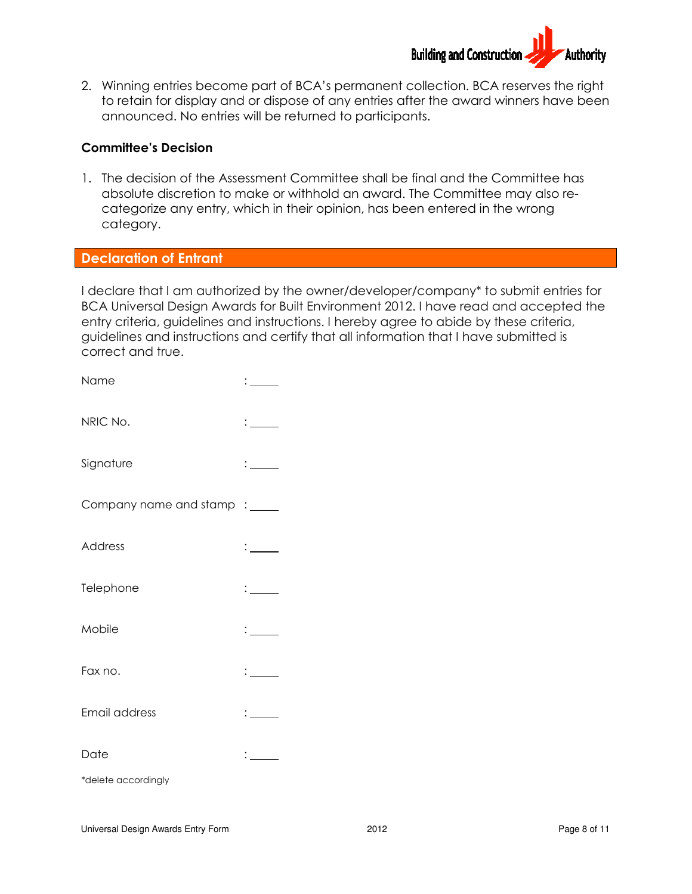

2. Winning entries become part of BCA's permanent collection. BCA reserves the right to retain for display and or dispose of any entries after the award winners have been announced. No entries will be returned to participants.

### Committee's Decision

1. The decision of the Assessment Committee shall be final and the Committee has absolute discretion to make or withhold an award. The Committee may also recategorize any entry, which in their opinion, has been entered in the wrong category. inced. No entries will be returned to participants.<br> **e's Decision**<br>
acision of the Assessment Committee shall be final and the Committee has<br>
the discretion to make or withhold an award. The Committee may also re-<br>
orize

### Declaration of Entrant

I declare that I am authorized by the owner/developer/company\* to submit entries for BCA Universal Design Awards for Built Environment . I have read entry criteria, guidelines and instructions. I hereby agree to abide by these criteria, entry criteria, guidelines and instructions. I hereby agree to abide by these criteria<br>guidelines and instructions and certify that all information that I have submitted is correct and true.

| Name                          |                               |
|-------------------------------|-------------------------------|
| NRIC No.                      | $\frac{1}{2}$                 |
| Signature                     | $\frac{1}{2}$                 |
| Company name and stamp : ____ |                               |
| <b>Address</b>                | $\frac{1}{2}$                 |
| Telephone                     | $\frac{1}{2}$                 |
| Mobile                        | $\frac{1}{2}$                 |
| Fax no.                       | $\mathbf{1}$ and $\mathbf{1}$ |
| Email address                 | $\mathbb{Z}^{\mathbb{Z}}$     |
| Date                          | $\mathbf{r}$                  |
| *delete accordingly           |                               |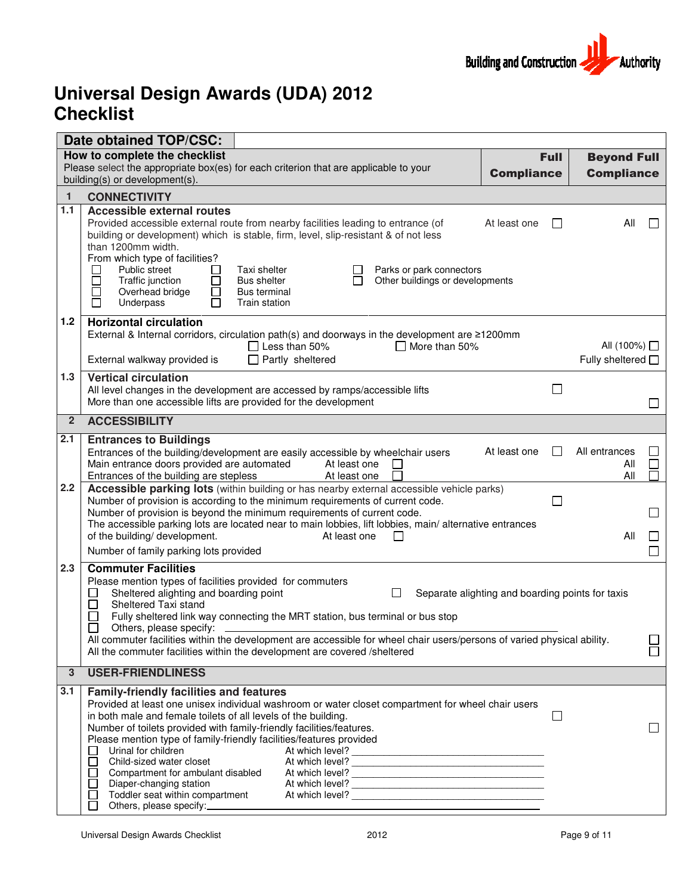

### **Universal Design Award Checklist Awards (UDA) 2012**

|                | Date obtained TOP/CSC:                                                                                                                                                                                                                                                                                                                                                                                                                                                                                                                                                                                          |                   |                                   |              |
|----------------|-----------------------------------------------------------------------------------------------------------------------------------------------------------------------------------------------------------------------------------------------------------------------------------------------------------------------------------------------------------------------------------------------------------------------------------------------------------------------------------------------------------------------------------------------------------------------------------------------------------------|-------------------|-----------------------------------|--------------|
|                | How to complete the checklist<br>Please select the appropriate box(es) for each criterion that are applicable to your                                                                                                                                                                                                                                                                                                                                                                                                                                                                                           | <b>Full</b>       | <b>Beyond Full</b>                |              |
|                | building(s) or development(s).                                                                                                                                                                                                                                                                                                                                                                                                                                                                                                                                                                                  | <b>Compliance</b> | <b>Compliance</b>                 |              |
| 1              | <b>CONNECTIVITY</b>                                                                                                                                                                                                                                                                                                                                                                                                                                                                                                                                                                                             |                   |                                   |              |
| 1.1            | <b>Accessible external routes</b><br>Provided accessible external route from nearby facilities leading to entrance (of<br>At least one<br>building or development) which is stable, firm, level, slip-resistant & of not less<br>than 1200mm width.<br>From which type of facilities?<br>Public street<br>Taxi shelter<br>Parks or park connectors<br>$\mathsf{L}$<br>$\Box$<br>$\overline{\phantom{a}}$<br>Traffic junction<br><b>Bus shelter</b><br>Other buildings or developments<br>Overhead bridge<br>Ξ<br>□<br><b>Bus terminal</b><br>П<br>Underpass<br>Train station                                    |                   | All                               |              |
| $1.2$          | <b>Horizontal circulation</b><br>External & Internal corridors, circulation path(s) and doorways in the development are ≥1200mm<br>$\Box$ Less than 50%<br>$\Box$ More than 50%<br>$\Box$ Partly sheltered<br>External walkway provided is                                                                                                                                                                                                                                                                                                                                                                      |                   | All (100%) □<br>Fully sheltered □ |              |
| 1.3            | <b>Vertical circulation</b><br>All level changes in the development are accessed by ramps/accessible lifts<br>More than one accessible lifts are provided for the development                                                                                                                                                                                                                                                                                                                                                                                                                                   | L.                |                                   | $\mathsf{L}$ |
| $\overline{2}$ | <b>ACCESSIBILITY</b>                                                                                                                                                                                                                                                                                                                                                                                                                                                                                                                                                                                            |                   |                                   |              |
| 2.1            | <b>Entrances to Buildings</b><br>At least one<br>Entrances of the building/development are easily accessible by wheelchair users<br>Main entrance doors provided are automated<br>At least one<br>×.<br>Entrances of the building are stepless<br>At least one                                                                                                                                                                                                                                                                                                                                                  |                   | All entrances<br>All<br>All       |              |
| 2.2            | Accessible parking lots (within building or has nearby external accessible vehicle parks)<br>Number of provision is according to the minimum requirements of current code.<br>Number of provision is beyond the minimum requirements of current code.<br>The accessible parking lots are located near to main lobbies, lift lobbies, main/ alternative entrances<br>of the building/ development.<br>At least one<br>Number of family parking lots provided                                                                                                                                                     |                   | All                               |              |
| 2.3            | <b>Commuter Facilities</b><br>Please mention types of facilities provided for commuters<br>Sheltered alighting and boarding point<br>$\Box$<br>Separate alighting and boarding points for taxis<br>Sheltered Taxi stand<br>Fully sheltered link way connecting the MRT station, bus terminal or bus stop<br>Others, please specify:<br>All commuter facilities within the development are accessible for wheel chair users/persons of varied physical ability.<br>All the commuter facilities within the development are covered /sheltered                                                                     |                   |                                   |              |
| $\mathbf{3}$   | <b>USER-FRIENDLINESS</b>                                                                                                                                                                                                                                                                                                                                                                                                                                                                                                                                                                                        |                   |                                   |              |
| 3.1            | <b>Family-friendly facilities and features</b><br>Provided at least one unisex individual washroom or water closet compartment for wheel chair users<br>in both male and female toilets of all levels of the building.<br>Number of toilets provided with family-friendly facilities/features.<br>Please mention type of family-friendly facilities/features provided<br>Urinal for children<br>At which level?<br>Child-sized water closet<br>At which level?<br>At which level?<br>Compartment for ambulant disabled<br>Diaper-changing station<br>Toddler seat within compartment<br>Others, please specify: |                   |                                   |              |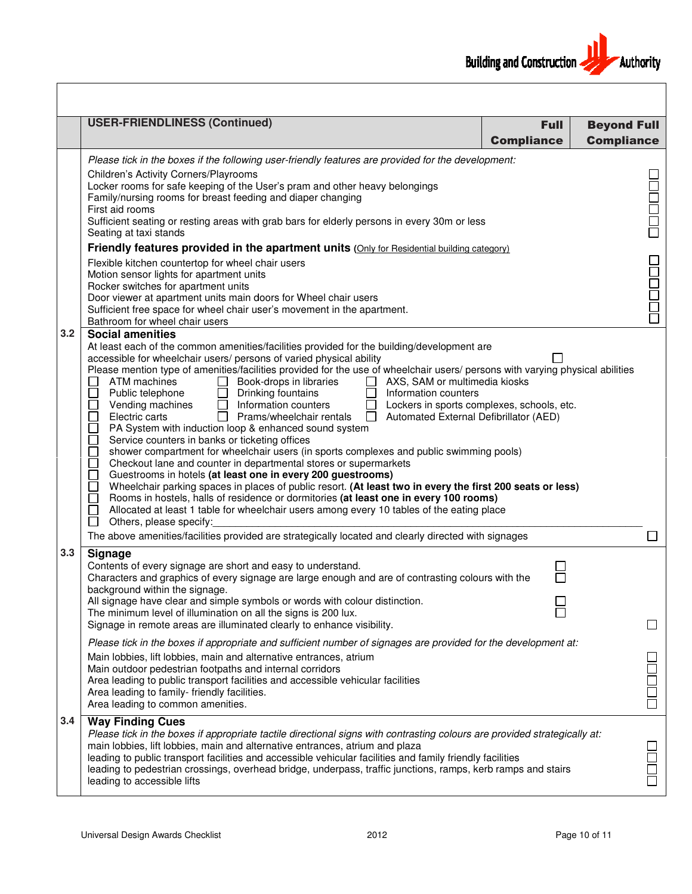|     | <b>USER-FRIENDLINESS (Continued)</b>                                                                                                                                                                                                                                                                                                                                                                                                                                                                                                                                                                                                                                                                                                                                                                                                                                                                                                                                                                                                                                                                                                                                                                                                                                                                                                                                                                                                                                                                                                                                  | <b>Full</b>       | <b>Beyond Full</b> |  |
|-----|-----------------------------------------------------------------------------------------------------------------------------------------------------------------------------------------------------------------------------------------------------------------------------------------------------------------------------------------------------------------------------------------------------------------------------------------------------------------------------------------------------------------------------------------------------------------------------------------------------------------------------------------------------------------------------------------------------------------------------------------------------------------------------------------------------------------------------------------------------------------------------------------------------------------------------------------------------------------------------------------------------------------------------------------------------------------------------------------------------------------------------------------------------------------------------------------------------------------------------------------------------------------------------------------------------------------------------------------------------------------------------------------------------------------------------------------------------------------------------------------------------------------------------------------------------------------------|-------------------|--------------------|--|
|     |                                                                                                                                                                                                                                                                                                                                                                                                                                                                                                                                                                                                                                                                                                                                                                                                                                                                                                                                                                                                                                                                                                                                                                                                                                                                                                                                                                                                                                                                                                                                                                       | <b>Compliance</b> | <b>Compliance</b>  |  |
|     | Please tick in the boxes if the following user-friendly features are provided for the development:<br><b>Children's Activity Corners/Playrooms</b><br>Locker rooms for safe keeping of the User's pram and other heavy belongings<br>Family/nursing rooms for breast feeding and diaper changing<br>First aid rooms<br>Sufficient seating or resting areas with grab bars for elderly persons in every 30m or less<br>Seating at taxi stands<br>Friendly features provided in the apartment units (Only for Residential building category)<br>Flexible kitchen countertop for wheel chair users<br>Motion sensor lights for apartment units<br>Rocker switches for apartment units                                                                                                                                                                                                                                                                                                                                                                                                                                                                                                                                                                                                                                                                                                                                                                                                                                                                                    |                   | 1000<br>1000       |  |
|     | Door viewer at apartment units main doors for Wheel chair users<br>Sufficient free space for wheel chair user's movement in the apartment.<br>Bathroom for wheel chair users                                                                                                                                                                                                                                                                                                                                                                                                                                                                                                                                                                                                                                                                                                                                                                                                                                                                                                                                                                                                                                                                                                                                                                                                                                                                                                                                                                                          |                   | <b>Nooper</b>      |  |
| 3.2 | <b>Social amenities</b><br>At least each of the common amenities/facilities provided for the building/development are<br>accessible for wheelchair users/ persons of varied physical ability<br>Please mention type of amenities/facilities provided for the use of wheelchair users/ persons with varying physical abilities<br>ATM machines<br>Book-drops in libraries<br>$\Box$<br>AXS, SAM or multimedia kiosks<br>$\mathbf{L}$<br>Public telephone<br>Drinking fountains<br>Information counters<br>$\Box$<br>8<br>9<br>9<br>9<br>Vending machines<br>Information counters<br>Lockers in sports complexes, schools, etc.<br>$\mathsf{L}$<br>Electric carts<br>Prams/wheelchair rentals<br>Automated External Defibrillator (AED)<br>$\Box$<br>PA System with induction loop & enhanced sound system<br>88888<br>Service counters in banks or ticketing offices<br>shower compartment for wheelchair users (in sports complexes and public swimming pools)<br>Checkout lane and counter in departmental stores or supermarkets<br>Guestrooms in hotels (at least one in every 200 guestrooms)<br>Wheelchair parking spaces in places of public resort. (At least two in every the first 200 seats or less)<br>$\Box$<br>Rooms in hostels, halls of residence or dormitories (at least one in every 100 rooms)<br>$\Box$<br>Allocated at least 1 table for wheelchair users among every 10 tables of the eating place<br>$\Box$<br>Others, please specify:<br>The above amenities/facilities provided are strategically located and clearly directed with signages |                   |                    |  |
| 3.3 | <b>Signage</b><br>Contents of every signage are short and easy to understand.<br>Characters and graphics of every signage are large enough and are of contrasting colours with the<br>background within the signage.<br>All signage have clear and simple symbols or words with colour distinction.<br>The minimum level of illumination on all the signs is 200 lux.<br>Signage in remote areas are illuminated clearly to enhance visibility.<br>Please tick in the boxes if appropriate and sufficient number of signages are provided for the development at:<br>Main lobbies, lift lobbies, main and alternative entrances, atrium                                                                                                                                                                                                                                                                                                                                                                                                                                                                                                                                                                                                                                                                                                                                                                                                                                                                                                                               |                   | $\Box$             |  |
|     | Main outdoor pedestrian footpaths and internal corridors<br>Area leading to public transport facilities and accessible vehicular facilities<br>Area leading to family- friendly facilities.<br>Area leading to common amenities.                                                                                                                                                                                                                                                                                                                                                                                                                                                                                                                                                                                                                                                                                                                                                                                                                                                                                                                                                                                                                                                                                                                                                                                                                                                                                                                                      |                   |                    |  |
| 3.4 | <b>Way Finding Cues</b><br>Please tick in the boxes if appropriate tactile directional signs with contrasting colours are provided strategically at:<br>main lobbies, lift lobbies, main and alternative entrances, atrium and plaza<br>leading to public transport facilities and accessible vehicular facilities and family friendly facilities<br>leading to pedestrian crossings, overhead bridge, underpass, traffic junctions, ramps, kerb ramps and stairs<br>leading to accessible lifts                                                                                                                                                                                                                                                                                                                                                                                                                                                                                                                                                                                                                                                                                                                                                                                                                                                                                                                                                                                                                                                                      |                   |                    |  |